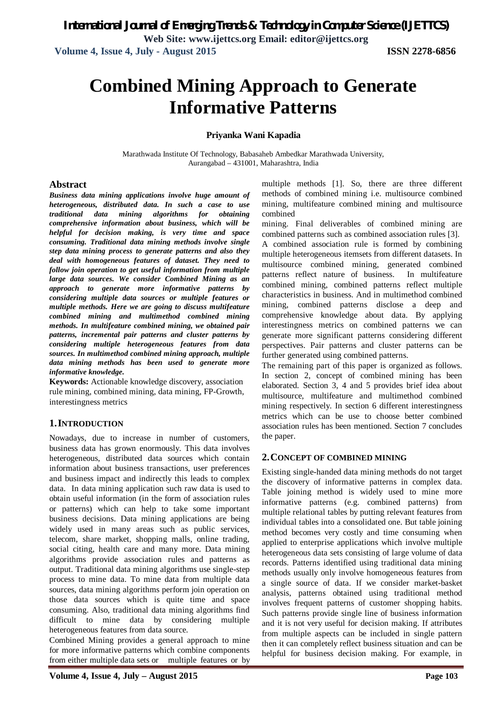# **Combined Mining Approach to Generate Informative Patterns**

#### **Priyanka Wani Kapadia**

Marathwada Institute Of Technology, Babasaheb Ambedkar Marathwada University, Aurangabad – 431001, Maharashtra, India

#### **Abstract**

*Business data mining applications involve huge amount of heterogeneous, distributed data. In such a case to use traditional data mining algorithms for obtaining comprehensive information about business, which will be helpful for decision making, is very time and space consuming. Traditional data mining methods involve single step data mining process to generate patterns and also they deal with homogeneous features of dataset. They need to follow join operation to get useful information from multiple large data sources. We consider Combined Mining as an approach to generate more informative patterns by considering multiple data sources or multiple features or multiple methods. Here we are going to discuss multifeature combined mining and multimethod combined mining methods. In multifeature combined mining, we obtained pair patterns, incremental pair patterns and cluster patterns by considering multiple heterogeneous features from data sources. In multimethod combined mining approach, multiple data mining methods has been used to generate more informative knowledge.*

**Keywords:** Actionable knowledge discovery, association rule mining, combined mining, data mining, FP-Growth, interestingness metrics

#### **1.INTRODUCTION**

Nowadays, due to increase in number of customers, business data has grown enormously. This data involves heterogeneous, distributed data sources which contain information about business transactions, user preferences and business impact and indirectly this leads to complex data. In data mining application such raw data is used to obtain useful information (in the form of association rules or patterns) which can help to take some important business decisions. Data mining applications are being widely used in many areas such as public services, telecom, share market, shopping malls, online trading, social citing, health care and many more. Data mining algorithms provide association rules and patterns as output. Traditional data mining algorithms use single-step process to mine data. To mine data from multiple data sources, data mining algorithms perform join operation on those data sources which is quite time and space consuming. Also, traditional data mining algorithms find difficult to mine data by considering multiple heterogeneous features from data source.

Combined Mining provides a general approach to mine for more informative patterns which combine components from either multiple data sets or multiple features or by multiple methods [1]. So, there are three different methods of combined mining i.e. multisource combined mining, multifeature combined mining and multisource combined

mining. Final deliverables of combined mining are combined patterns such as combined association rules [3]. A combined association rule is formed by combining multiple heterogeneous itemsets from different datasets. In multisource combined mining, generated combined patterns reflect nature of business. In multifeature combined mining, combined patterns reflect multiple characteristics in business. And in multimethod combined mining, combined patterns disclose a deep and comprehensive knowledge about data. By applying interestingness metrics on combined patterns we can generate more significant patterns considering different perspectives. Pair patterns and cluster patterns can be further generated using combined patterns.

The remaining part of this paper is organized as follows. In section 2, concept of combined mining has been elaborated. Section 3, 4 and 5 provides brief idea about multisource, multifeature and multimethod combined mining respectively. In section 6 different interestingness metrics which can be use to choose better combined association rules has been mentioned. Section 7 concludes the paper.

#### **2.CONCEPT OF COMBINED MINING**

Existing single-handed data mining methods do not target the discovery of informative patterns in complex data. Table joining method is widely used to mine more informative patterns (e.g. combined patterns) from multiple relational tables by putting relevant features from individual tables into a consolidated one. But table joining method becomes very costly and time consuming when applied to enterprise applications which involve multiple heterogeneous data sets consisting of large volume of data records. Patterns identified using traditional data mining methods usually only involve homogeneous features from a single source of data. If we consider market-basket analysis, patterns obtained using traditional method involves frequent patterns of customer shopping habits. Such patterns provide single line of business information and it is not very useful for decision making. If attributes from multiple aspects can be included in single pattern then it can completely reflect business situation and can be helpful for business decision making. For example, in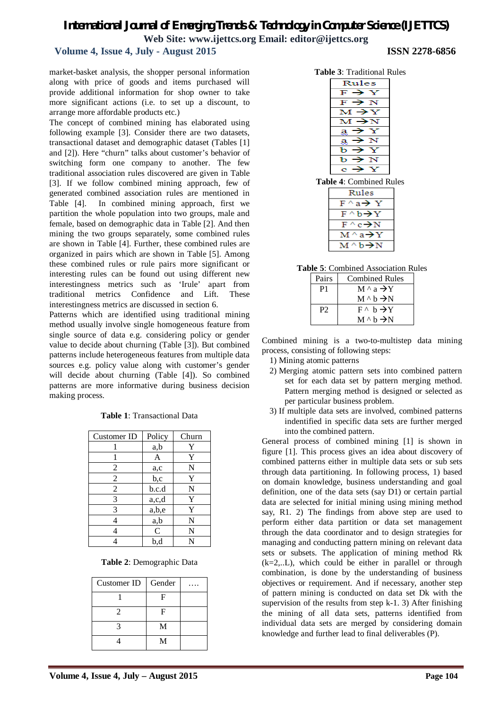#### **Volume 4, Issue 4, July - August 2015 ISSN 2278-6856**

market-basket analysis, the shopper personal information along with price of goods and items purchased will provide additional information for shop owner to take

arrange more affordable products etc.) The concept of combined mining has elaborated using following example [3]. Consider there are two datasets, transactional dataset and demographic dataset (Tables [1] and [2]). Here "churn" talks about customer's behavior of switching form one company to another. The few traditional association rules discovered are given in Table [3]. If we follow combined mining approach, few of generated combined association rules are mentioned in Table [4]. In combined mining approach, first we partition the whole population into two groups, male and female, based on demographic data in Table [2]. And then mining the two groups separately, some combined rules are shown in Table [4]. Further, these combined rules are organized in pairs which are shown in Table [5]. Among these combined rules or rule pairs more significant or interesting rules can be found out using different new interestingness metrics such as 'Irule' apart from traditional metrics Confidence and Lift. These interestingness metrics are discussed in section 6.

more significant actions (i.e. to set up a discount, to

Patterns which are identified using traditional mining method usually involve single homogeneous feature from single source of data e.g. considering policy or gender value to decide about churning (Table [3]). But combined patterns include heterogeneous features from multiple data sources e.g. policy value along with customer's gender will decide about churning (Table [4]). So combined patterns are more informative during business decision making process.

**Table 1**: Transactional Data

| Customer ID | Policy        | Churn |
|-------------|---------------|-------|
|             | a,b           | Y     |
|             | A             | Y     |
| 2           | a,c           | N     |
| 2           | b,c           | Y     |
| 2           | b.c.d         | N     |
| 3           | a,c,d         | Y     |
| 3           | a,b,e         | Y     |
|             | a,b           | N     |
|             | $\mathcal{C}$ | N     |
|             | b.d           | N     |

**Table 2**: Demographic Data

| $Customer$ ID | Gender |  |
|---------------|--------|--|
|               | F      |  |
| 2             | F      |  |
|               | M      |  |
|               | M      |  |



| Rules   |  |
|---------|--|
| Y<br>F  |  |
| F<br>N  |  |
| ╭<br>м  |  |
| γΝ<br>M |  |
| ₫       |  |
| N       |  |
|         |  |
| N       |  |
|         |  |

|  | <b>Table 4: Combined Rules</b> |  |
|--|--------------------------------|--|
|--|--------------------------------|--|

| Rules     |  |
|-----------|--|
| ΕΛ<br>∗a→ |  |
| F^b→Y     |  |
| F∧c→N     |  |
| М^а→Ү     |  |
| M^b→N     |  |

**Table 5**: Combined Association Rules

| Pairs          | Combined Rules             |
|----------------|----------------------------|
| P <sub>1</sub> | $M \wedge a \rightarrow Y$ |
|                | $M \wedge h \rightarrow N$ |
| P2             | $F \wedge h \rightarrow Y$ |
|                | $M \wedge h \rightarrow N$ |

Combined mining is a two-to-multistep data mining process, consisting of following steps:

- 1) Mining atomic patterns
- 2) Merging atomic pattern sets into combined pattern set for each data set by pattern merging method. Pattern merging method is designed or selected as per particular business problem.
- 3) If multiple data sets are involved, combined patterns indentified in specific data sets are further merged into the combined pattern.

General process of combined mining [1] is shown in figure [1]. This process gives an idea about discovery of combined patterns either in multiple data sets or sub sets through data partitioning. In following process, 1) based on domain knowledge, business understanding and goal definition, one of the data sets (say D1) or certain partial data are selected for initial mining using mining method say, R1. 2) The findings from above step are used to perform either data partition or data set management through the data coordinator and to design strategies for managing and conducting pattern mining on relevant data sets or subsets. The application of mining method Rk  $(k=2,...L)$ , which could be either in parallel or through combination, is done by the understanding of business objectives or requirement. And if necessary, another step of pattern mining is conducted on data set Dk with the supervision of the results from step k-1. 3) After finishing the mining of all data sets, patterns identified from individual data sets are merged by considering domain knowledge and further lead to final deliverables (P).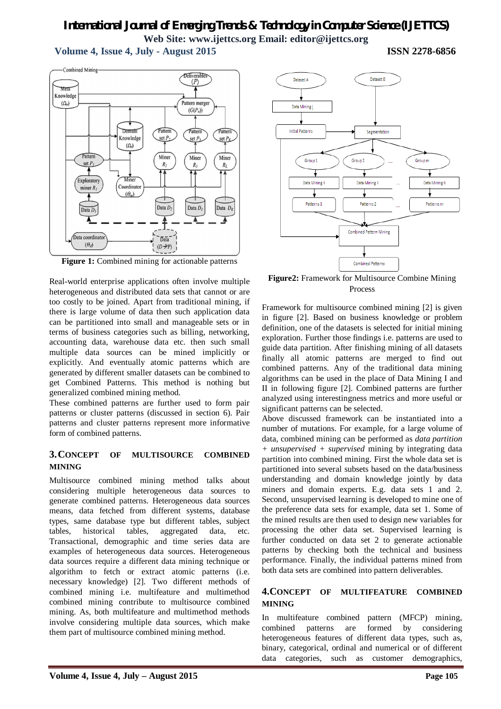**Volume 4, Issue 4, July - August 2015 ISSN 2278-6856**



**Figure 1:** Combined mining for actionable patterns

Real-world enterprise applications often involve multiple heterogeneous and distributed data sets that cannot or are too costly to be joined. Apart from traditional mining, if there is large volume of data then such application data can be partitioned into small and manageable sets or in terms of business categories such as billing, networking, accounting data, warehouse data etc. then such small multiple data sources can be mined implicitly or explicitly. And eventually atomic patterns which are generated by different smaller datasets can be combined to get Combined Patterns. This method is nothing but generalized combined mining method.

These combined patterns are further used to form pair patterns or cluster patterns (discussed in section 6). Pair patterns and cluster patterns represent more informative form of combined patterns.

#### **3.CONCEPT OF MULTISOURCE COMBINED MINING**

Multisource combined mining method talks about considering multiple heterogeneous data sources to generate combined patterns. Heterogeneous data sources means, data fetched from different systems, database types, same database type but different tables, subject tables, historical tables, aggregated data, etc. Transactional, demographic and time series data are examples of heterogeneous data sources. Heterogeneous data sources require a different data mining technique or algorithm to fetch or extract atomic patterns (i.e. necessary knowledge) [2]. Two different methods of combined mining i.e. multifeature and multimethod combined mining contribute to multisource combined mining. As, both multifeature and multimethod methods involve considering multiple data sources, which make them part of multisource combined mining method.



**Figure2:** Framework for Multisource Combine Mining Process

Framework for multisource combined mining [2] is given in figure [2]. Based on business knowledge or problem definition, one of the datasets is selected for initial mining exploration. Further those findings i.e. patterns are used to guide data partition. After finishing mining of all datasets finally all atomic patterns are merged to find out combined patterns. Any of the traditional data mining algorithms can be used in the place of Data Mining I and II in following figure [2]. Combined patterns are further analyzed using interestingness metrics and more useful or significant patterns can be selected.

Above discussed framework can be instantiated into a number of mutations. For example, for a large volume of data, combined mining can be performed as *data partition + unsupervised + supervised* mining by integrating data partition into combined mining. First the whole data set is partitioned into several subsets based on the data/business understanding and domain knowledge jointly by data miners and domain experts. E.g. data sets 1 and 2. Second, unsupervised learning is developed to mine one of the preference data sets for example, data set 1. Some of the mined results are then used to design new variables for processing the other data set. Supervised learning is further conducted on data set 2 to generate actionable patterns by checking both the technical and business performance. Finally, the individual patterns mined from both data sets are combined into pattern deliverables.

#### **4.CONCEPT OF MULTIFEATURE COMBINED MINING**

In multifeature combined pattern (MFCP) mining, combined patterns are formed by considering heterogeneous features of different data types, such as, binary, categorical, ordinal and numerical or of different data categories, such as customer demographics,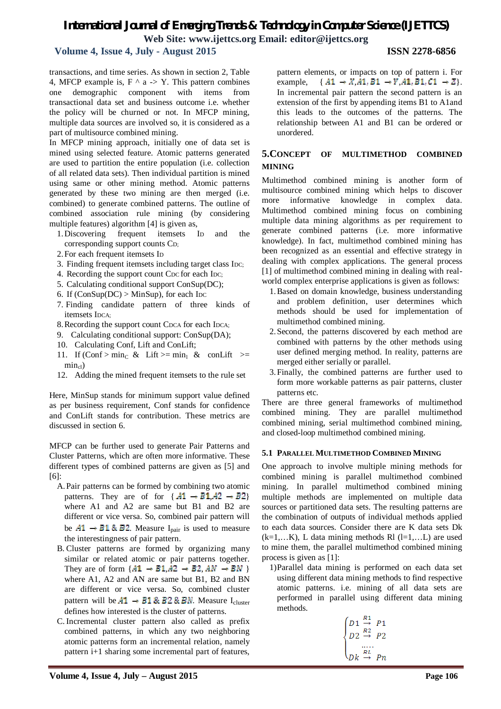#### **Volume 4, Issue 4, July - August 2015 ISSN 2278-6856**

transactions, and time series. As shown in section 2, Table 4, MFCP example is,  $F \land a \Rightarrow Y$ . This pattern combines one demographic component with items from transactional data set and business outcome i.e. whether the policy will be churned or not. In MFCP mining, multiple data sources are involved so, it is considered as a part of multisource combined mining.

In MFCP mining approach, initially one of data set is mined using selected feature. Atomic patterns generated are used to partition the entire population (i.e. collection of all related data sets). Then individual partition is mined using same or other mining method. Atomic patterns generated by these two mining are then merged (i.e. combined) to generate combined patterns. The outline of combined association rule mining (by considering multiple features) algorithm [4] is given as,

- 1.Discovering frequent itemsets I<sup>D</sup> and the corresponding support counts CD;
- 2.For each frequent itemsets I<sup>D</sup>
- 3. Finding frequent itemsets including target class IDC;
- 4. Recording the support count CDC for each IDC;
- 5. Calculating conditional support ConSup(DC);
- 6. If  $(ConSup(DC) > MinSup)$ , for each IDC
- 7. Finding candidate pattern of three kinds of itemsets IDCA;
- 8. Recording the support count CDCA for each IDCA;
- 9. Calculating conditional support: ConSup(DA);
- 10. Calculating Conf, Lift and ConLift;
- 11. If  $(Conf > min_C \& \text{Lift} \geq min_1 \& \text{conLift} \geq$  $min_{cl}$ )
- 12. Adding the mined frequent itemsets to the rule set

Here, MinSup stands for minimum support value defined as per business requirement, Conf stands for confidence and ConLift stands for contribution. These metrics are discussed in section 6.

MFCP can be further used to generate Pair Patterns and Cluster Patterns, which are often more informative. These different types of combined patterns are given as [5] and [6]:

- A.Pair patterns can be formed by combining two atomic patterns. They are of for  $\{A1 \rightarrow B1, A2 \rightarrow B2\}$ where A1 and A2 are same but B1 and B2 are different or vice versa. So, combined pair pattern will be  $A1 \rightarrow B1$  & B2. Measure I<sub>pair</sub> is used to measure the interestingness of pair pattern.
- B. Cluster patterns are formed by organizing many similar or related atomic or pair patterns together. They are of form  $\{A1 \rightarrow B1, A2 \rightarrow B2, AM \rightarrow BN\}$ where A1, A2 and AN are same but B1, B2 and BN are different or vice versa. So, combined cluster pattern will be  $A1 \rightarrow B1 \& B2 \& BN$ . Measure I<sub>cluster</sub> defines how interested is the cluster of patterns.
- C. Incremental cluster pattern also called as prefix combined patterns, in which any two neighboring atomic patterns form an incremental relation, namely pattern i+1 sharing some incremental part of features,

pattern elements, or impacts on top of pattern i. For example,  $\{ A1 \rightarrow X, A1, B1 \rightarrow Y, A1, B1, C1 \rightarrow Z \}.$ In incremental pair pattern the second pattern is an extension of the first by appending items B1 to A1and this leads to the outcomes of the patterns. The relationship between A1 and B1 can be ordered or unordered.

#### **5.CONCEPT OF MULTIMETHOD COMBINED MINING**

Multimethod combined mining is another form of multisource combined mining which helps to discover more informative knowledge in complex data. Multimethod combined mining focus on combining multiple data mining algorithms as per requirement to generate combined patterns (i.e. more informative knowledge). In fact, multimethod combined mining has been recognized as an essential and effective strategy in dealing with complex applications. The general process [1] of multimethod combined mining in dealing with realworld complex enterprise applications is given as follows:

- 1.Based on domain knowledge, business understanding and problem definition, user determines which methods should be used for implementation of multimethod combined mining.
- 2.Second, the patterns discovered by each method are combined with patterns by the other methods using user defined merging method. In reality, patterns are merged either serially or parallel.
- 3.Finally, the combined patterns are further used to form more workable patterns as pair patterns, cluster patterns etc.

There are three general frameworks of multimethod combined mining. They are parallel multimethod combined mining, serial multimethod combined mining, and closed-loop multimethod combined mining.

#### **5.1 PARALLEL MULTIMETHOD COMBINED MINING**

One approach to involve multiple mining methods for combined mining is parallel multimethod combined mining. In parallel multimethod combined mining multiple methods are implemented on multiple data sources or partitioned data sets. The resulting patterns are the combination of outputs of individual methods applied to each data sources. Consider there are K data sets Dk  $(k=1,...K)$ , L data mining methods Rl  $(l=1,...L)$  are used to mine them, the parallel multimethod combined mining process is given as [1]:

1)Parallel data mining is performed on each data set using different data mining methods to find respective atomic patterns. i.e. mining of all data sets are performed in parallel using different data mining methods.

$$
\begin{cases} D1\overset{R1}{\rightarrow} P1 \\ D2\overset{R2}{\rightarrow} P2 \\ \dots \\ Dk\overset{RL}{\rightarrow} Pn \end{cases}
$$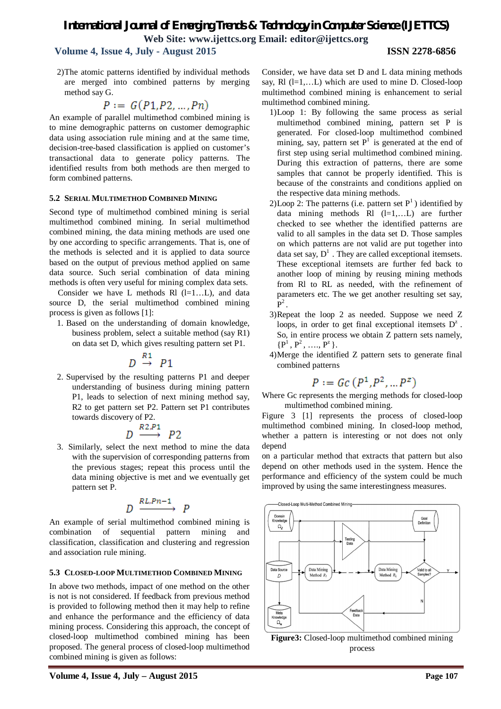#### **Volume 4, Issue 4, July - August 2015 ISSN 2278-6856**

2)The atomic patterns identified by individual methods are merged into combined patterns by merging method say G.

$$
P := G(P1, P2, ..., Pn)
$$

An example of parallel multimethod combined mining is to mine demographic patterns on customer demographic data using association rule mining and at the same time, decision-tree-based classification is applied on customer's transactional data to generate policy patterns. The identified results from both methods are then merged to form combined patterns.

#### **5.2 SERIAL MULTIMETHOD COMBINED MINING**

Second type of multimethod combined mining is serial multimethod combined mining. In serial multimethod combined mining, the data mining methods are used one by one according to specific arrangements. That is, one of the methods is selected and it is applied to data source based on the output of previous method applied on same data source. Such serial combination of data mining methods is often very useful for mining complex data sets.

Consider we have L methods Rl  $(l=1...L)$ , and data source D, the serial multimethod combined mining process is given as follows [1]:

1. Based on the understanding of domain knowledge, business problem, select a suitable method (say R1) on data set D, which gives resulting pattern set P1.

$$
D \stackrel{R1}{\rightarrow} P1
$$

2. Supervised by the resulting patterns P1 and deeper understanding of business during mining pattern P1, leads to selection of next mining method say, R2 to get pattern set P2. Pattern set P1 contributes towards discovery of P2.

$$
D \xrightarrow{R2,P1} P2
$$

3. Similarly, select the next method to mine the data with the supervision of corresponding patterns from the previous stages; repeat this process until the data mining objective is met and we eventually get pattern set P.

$$
D \xrightarrow{RL, Pn-1} P
$$

An example of serial multimethod combined mining is combination of sequential pattern mining and classification, classification and clustering and regression and association rule mining.

#### **5.3 CLOSED-LOOP MULTIMETHOD COMBINED MINING**

In above two methods, impact of one method on the other is not is not considered. If feedback from previous method is provided to following method then it may help to refine and enhance the performance and the efficiency of data mining process. Considering this approach, the concept of closed-loop multimethod combined mining has been proposed. The general process of closed-loop multimethod combined mining is given as follows:

- 1)Loop 1: By following the same process as serial multimethod combined mining, pattern set P is generated. For closed-loop multimethod combined mining, say, pattern set  $P<sup>1</sup>$  is generated at the end of first step using serial multimethod combined mining. During this extraction of patterns, there are some samples that cannot be properly identified. This is because of the constraints and conditions applied on the respective data mining methods.
- 2) Loop 2: The patterns (i.e. pattern set  $P<sup>1</sup>$ ) identified by data mining methods  $Rl$  (l=1,...L) are further checked to see whether the identified patterns are valid to all samples in the data set D. Those samples on which patterns are not valid are put together into data set say,  $D^1$ . They are called exceptional itemsets. These exceptional itemsets are further fed back to another loop of mining by reusing mining methods from Rl to RL as needed, with the refinement of parameters etc. The we get another resulting set say,  $\mathbf{P}^2$  .
- 3)Repeat the loop 2 as needed. Suppose we need Z loops, in order to get final exceptional itemsets  $D^z$ . So, in entire process we obtain Z pattern sets namely,  $\{P^1, P^2, \ldots, P^z\}.$
- 4)Merge the identified Z pattern sets to generate final combined patterns

$$
P := Gc(P^1, P^2, \dots P^z)
$$

Where Gc represents the merging methods for closed-loop multimethod combined mining.

Figure 3 [1] represents the process of closed-loop multimethod combined mining. In closed-loop method, whether a pattern is interesting or not does not only depend

on a particular method that extracts that pattern but also depend on other methods used in the system. Hence the performance and efficiency of the system could be much improved by using the same interestingness measures.



**Figure3:** Closed-loop multimethod combined mining process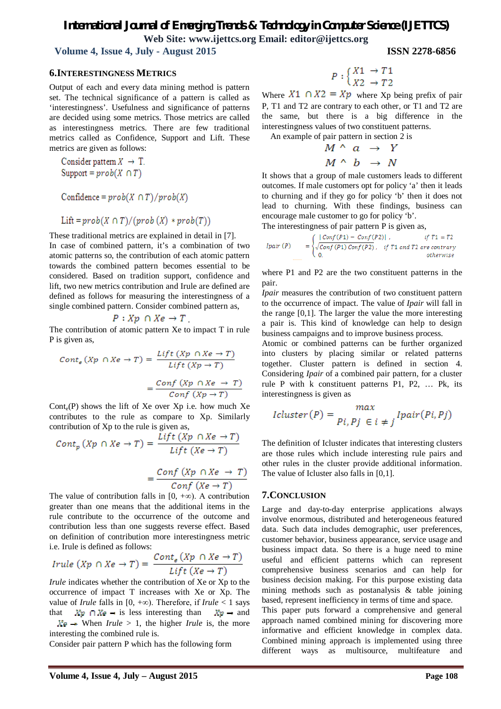# *International Journal of Emerging Trends & Technology in Computer Science (IJETTCS)*

**Web Site: www.ijettcs.org Email: editor@ijettcs.org** 

 **Volume 4, Issue 4, July - August 2015 ISSN 2278-6856**

#### **6.INTERESTINGNESS METRICS**

Output of each and every data mining method is pattern set. The technical significance of a pattern is called as 'interestingness'. Usefulness and significance of patterns are decided using some metrics. Those metrics are called as interestingness metrics. There are few traditional metrics called as Confidence, Support and Lift. These metrics are given as follows:

Consider pattern  $X \rightarrow T$ . Support =  $prob(X \cap T)$ 

Confidence =  $prob(X \cap T)/prob(X)$ 

$$
Lift = prob(X \cap T) / (prob(X) * prob(T))
$$

These traditional metrics are explained in detail in [7]. In case of combined pattern, it's a combination of two atomic patterns so, the contribution of each atomic pattern towards the combined pattern becomes essential to be considered. Based on tradition support, confidence and lift, two new metrics contribution and Irule are defined are defined as follows for measuring the interestingness of a single combined pattern. Consider combined pattern as,

$$
P: Xp \cap Xe \to T
$$

The contribution of atomic pattern Xe to impact T in rule P is given as,

$$
Cont_e (Xp \cap Xe \to T) = \frac{Lift (Xp \cap Xe \to T)}{Lift (Xp \to T)}
$$

$$
= \frac{Conf (Xp \cap Xe \to T)}{Conf (Xp \to T)}
$$

 $Cont_e(P)$  shows the lift of Xe over Xp i.e. how much Xe contributes to the rule as compare to Xp. Similarly contribution of Xp to the rule is given as,

$$
Cont_p (Xp \cap Xe \to T) = \frac{Lift (Xp \cap Xe \to T)}{Lift (Xe \to T)}
$$

$$
= \frac{Conf (Xp \cap Xe \to T)}{Conf (Xe \to T)}
$$

The value of contribution falls in  $[0, +\infty)$ . A contribution greater than one means that the additional items in the rule contribute to the occurrence of the outcome and contribution less than one suggests reverse effect. Based on definition of contribution more interestingness metric i.e. Irule is defined as follows:

$$
Irule (Xp \cap Xe \to T) = \frac{Cont_e(Xp \cap Xe \to T)}{Lift (Xe \to T)}
$$

*Irule* indicates whether the contribution of Xe or Xp to the occurrence of impact T increases with Xe or Xp. The value of *Irule* falls in [0, +∞). Therefore, if *Irule* < 1 says that  $\bar{X}p \cap \bar{X}q \to \text{is less interesting than } \bar{X}p \to \text{and}$ 

 $X_{\theta} \rightarrow$  When *Irule* > 1, the higher *Irule* is, the more interesting the combined rule is.

Consider pair pattern P which has the following form

$$
P: \Big\{ \begin{aligned} X1 &\rightarrow T1 \\ X2 &\rightarrow T2 \end{aligned}
$$

Where  $X1 \cap X2 = Xp$  where Xp being prefix of pair P, T1 and T2 are contrary to each other, or T1 and T2 are the same, but there is a big difference in the interestingness values of two constituent patterns.

An example of pair pattern in section 2 is

$$
\begin{array}{c}\nM \wedge a \rightarrow Y \\
M \wedge b \rightarrow N\n\end{array}
$$

It shows that a group of male customers leads to different outcomes. If male customers opt for policy 'a' then it leads to churning and if they go for policy 'b' then it does not lead to churning. With these findings, business can encourage male customer to go for policy 'b'.

The interestingness of pair pattern P is given as,

*lpair (P)* = 
$$
\begin{cases} |\text{Conf}(P1) - \text{Conf}(P2)|, & \text{if } T1 = T2 \\ \sqrt{\text{Conf}(P1) \text{Conf}(P2)}, & \text{if } T1 \text{ and } T2 \text{ are contrary} \\ 0, & \text{otherwise} \end{cases}
$$

where P1 and P2 are the two constituent patterns in the pair.

*Ipair* measures the contribution of two constituent pattern to the occurrence of impact. The value of *Ipair* will fall in the range [0,1]. The larger the value the more interesting a pair is. This kind of knowledge can help to design business campaigns and to improve business process.

Atomic or combined patterns can be further organized into clusters by placing similar or related patterns together. Cluster pattern is defined in section 4. Considering *Ipair* of a combined pair pattern, for a cluster rule P with k constituent patterns P1, P2, … Pk, its interestingness is given as

$$
Icluster(P) = \frac{max}{Pi, Pj \in i \neq j} Ipair(Pi, Pj)
$$

The definition of Icluster indicates that interesting clusters are those rules which include interesting rule pairs and other rules in the cluster provide additional information. The value of Icluster also falls in [0,1].

#### **7.CONCLUSION**

Large and day-to-day enterprise applications always involve enormous, distributed and heterogeneous featured data. Such data includes demographic, user preferences, customer behavior, business appearance, service usage and business impact data. So there is a huge need to mine useful and efficient patterns which can represent comprehensive business scenarios and can help for business decision making. For this purpose existing data mining methods such as postanalysis & table joining based, represent inefficiency in terms of time and space.

This paper puts forward a comprehensive and general approach named combined mining for discovering more informative and efficient knowledge in complex data. Combined mining approach is implemented using three different ways as multisource, multifeature and